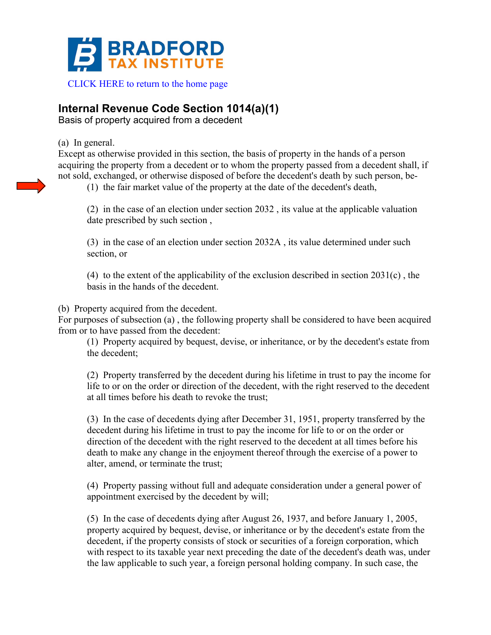

## **Internal Revenue Code Section 1014(a)(1)**

Basis of property acquired from a decedent

## (a) In general.

Except as otherwise provided in this section, the basis of property in the hands of a person acquiring the property from a decedent or to whom the property passed from a decedent shall, if not sold, exchanged, or otherwise disposed of before the decedent's death by such person, be-

(1) the fair market value of the property at the date of the decedent's death,

(2) in the case of an election under section 2032 , its value at the applicable valuation date prescribed by such section ,

(3) in the case of an election under section 2032A , its value determined under such section, or

(4) to the extent of the applicability of the exclusion described in section 2031(c) , the basis in the hands of the decedent.

## (b) Property acquired from the decedent.

For purposes of subsection (a) , the following property shall be considered to have been acquired from or to have passed from the decedent:

(1) Property acquired by bequest, devise, or inheritance, or by the decedent's estate from the decedent;

(2) Property transferred by the decedent during his lifetime in trust to pay the income for life to or on the order or direction of the decedent, with the right reserved to the decedent at all times before his death to revoke the trust;

(3) In the case of decedents dying after December 31, 1951, property transferred by the decedent during his lifetime in trust to pay the income for life to or on the order or direction of the decedent with the right reserved to the decedent at all times before his death to make any change in the enjoyment thereof through the exercise of a power to alter, amend, or terminate the trust;

(4) Property passing without full and adequate consideration under a general power of appointment exercised by the decedent by will;

(5) In the case of decedents dying after August 26, 1937, and before January 1, 2005, property acquired by bequest, devise, or inheritance or by the decedent's estate from the decedent, if the property consists of stock or securities of a foreign corporation, which with respect to its taxable year next preceding the date of the decedent's death was, under the law applicable to such year, a foreign personal holding company. In such case, the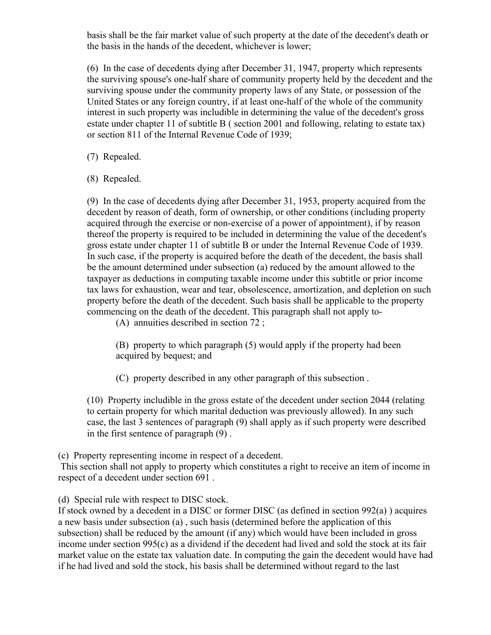basis shall be the fair market value of such property at the date of the decedent's death or the basis in the hands of the decedent, whichever is lower;

(6) In the case of decedents dying after December 31, 1947, property which represents the surviving spouse's one-half share of community property held by the decedent and the surviving spouse under the community property laws of any State, or possession of the United States or any foreign country, if at least one-half of the whole of the community interest in such property was includible in determining the value of the decedent's gross estate under chapter 11 of subtitle B ( section 2001 and following, relating to estate tax) or section 811 of the Internal Revenue Code of 1939;

(7) Repealed.

(8) Repealed.

(9) In the case of decedents dying after December 31, 1953, property acquired from the decedent by reason of death, form of ownership, or other conditions (including property acquired through the exercise or non-exercise of a power of appointment), if by reason thereof the property is required to be included in determining the value of the decedent's gross estate under chapter 11 of subtitle B or under the Internal Revenue Code of 1939. In such case, if the property is acquired before the death of the decedent, the basis shall be the amount determined under subsection (a) reduced by the amount allowed to the taxpayer as deductions in computing taxable income under this subtitle or prior income tax laws for exhaustion, wear and tear, obsolescence, amortization, and depletion on such property before the death of the decedent. Such basis shall be applicable to the property commencing on the death of the decedent. This paragraph shall not apply to-

(A) annuities described in section 72 ;

(B) property to which paragraph (5) would apply if the property had been acquired by bequest; and

(C) property described in any other paragraph of this subsection .

(10) Property includible in the gross estate of the decedent under section 2044 (relating to certain property for which marital deduction was previously allowed). In any such case, the last 3 sentences of paragraph (9) shall apply as if such property were described in the first sentence of paragraph (9) .

(c) Property representing income in respect of a decedent.

This section shall not apply to property which constitutes a right to receive an item of income in respect of a decedent under section 691 .

(d) Special rule with respect to DISC stock.

If stock owned by a decedent in a DISC or former DISC (as defined in section 992(a) ) acquires a new basis under subsection (a) , such basis (determined before the application of this subsection) shall be reduced by the amount (if any) which would have been included in gross income under section 995(c) as a dividend if the decedent had lived and sold the stock at its fair market value on the estate tax valuation date. In computing the gain the decedent would have had if he had lived and sold the stock, his basis shall be determined without regard to the last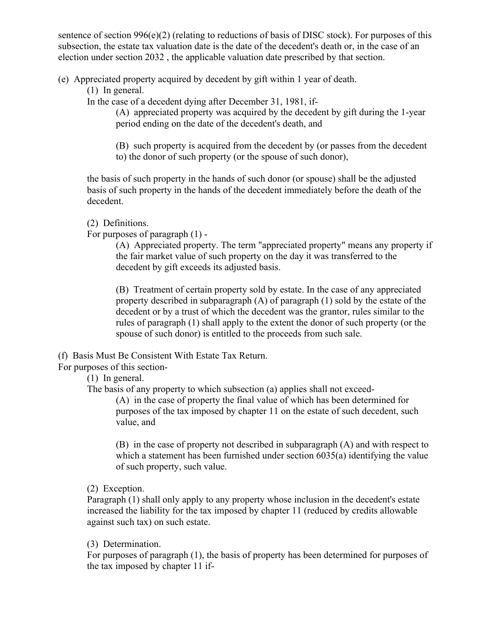sentence of section  $996(e)(2)$  (relating to reductions of basis of DISC stock). For purposes of this subsection, the estate tax valuation date is the date of the decedent's death or, in the case of an election under section 2032 , the applicable valuation date prescribed by that section.

(e) Appreciated property acquired by decedent by gift within 1 year of death.

(1) In general.

In the case of a decedent dying after December 31, 1981, if-

(A) appreciated property was acquired by the decedent by gift during the 1-year period ending on the date of the decedent's death, and

(B) such property is acquired from the decedent by (or passes from the decedent to) the donor of such property (or the spouse of such donor),

the basis of such property in the hands of such donor (or spouse) shall be the adjusted basis of such property in the hands of the decedent immediately before the death of the decedent.

(2) Definitions.

For purposes of paragraph (1) -

(A) Appreciated property. The term "appreciated property" means any property if the fair market value of such property on the day it was transferred to the decedent by gift exceeds its adjusted basis.

(B) Treatment of certain property sold by estate. In the case of any appreciated property described in subparagraph (A) of paragraph (1) sold by the estate of the decedent or by a trust of which the decedent was the grantor, rules similar to the rules of paragraph (1) shall apply to the extent the donor of such property (or the spouse of such donor) is entitled to the proceeds from such sale.

(f) Basis Must Be Consistent With Estate Tax Return.

For purposes of this section-

(1) In general.

The basis of any property to which subsection (a) applies shall not exceed-

(A) in the case of property the final value of which has been determined for purposes of the tax imposed by chapter 11 on the estate of such decedent, such value, and

(B) in the case of property not described in subparagraph (A) and with respect to which a statement has been furnished under section 6035(a) identifying the value of such property, such value.

(2) Exception.

Paragraph (1) shall only apply to any property whose inclusion in the decedent's estate increased the liability for the tax imposed by chapter 11 (reduced by credits allowable against such tax) on such estate.

(3) Determination.

For purposes of paragraph (1), the basis of property has been determined for purposes of the tax imposed by chapter 11 if